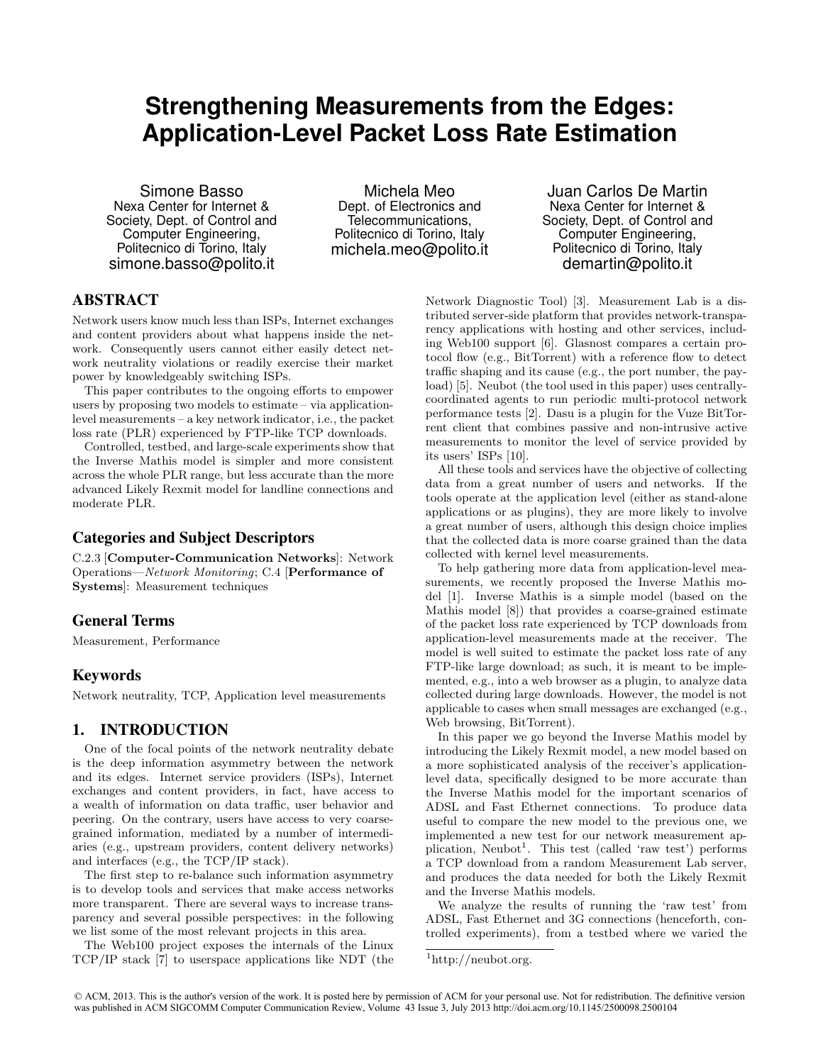# **Strengthening Measurements from the Edges: Application-Level Packet Loss Rate Estimation**

Simone Basso Nexa Center for Internet & Society, Dept. of Control and Computer Engineering, Politecnico di Torino, Italy simone.basso@polito.it

Michela Meo Dept. of Electronics and Telecommunications, Politecnico di Torino, Italy michela.meo@polito.it

Juan Carlos De Martin Nexa Center for Internet & Society, Dept. of Control and Computer Engineering, Politecnico di Torino, Italy demartin@polito.it

# ABSTRACT

Network users know much less than ISPs, Internet exchanges and content providers about what happens inside the network. Consequently users cannot either easily detect network neutrality violations or readily exercise their market power by knowledgeably switching ISPs.

This paper contributes to the ongoing efforts to empower users by proposing two models to estimate – via applicationlevel measurements – a key network indicator, i.e., the packet loss rate (PLR) experienced by FTP-like TCP downloads.

Controlled, testbed, and large-scale experiments show that the Inverse Mathis model is simpler and more consistent across the whole PLR range, but less accurate than the more advanced Likely Rexmit model for landline connections and moderate PLR.

# Categories and Subject Descriptors

C.2.3 [Computer-Communication Networks]: Network Operations—Network Monitoring; C.4 [Performance of Systems]: Measurement techniques

# General Terms

Measurement, Performance

# Keywords

Network neutrality, TCP, Application level measurements

# 1. INTRODUCTION

One of the focal points of the network neutrality debate is the deep information asymmetry between the network and its edges. Internet service providers (ISPs), Internet exchanges and content providers, in fact, have access to a wealth of information on data traffic, user behavior and peering. On the contrary, users have access to very coarsegrained information, mediated by a number of intermediaries (e.g., upstream providers, content delivery networks) and interfaces (e.g., the TCP/IP stack).

The first step to re-balance such information asymmetry is to develop tools and services that make access networks more transparent. There are several ways to increase transparency and several possible perspectives: in the following we list some of the most relevant projects in this area.

The Web100 project exposes the internals of the Linux TCP/IP stack [7] to userspace applications like NDT (the Network Diagnostic Tool) [3]. Measurement Lab is a distributed server-side platform that provides network-transparency applications with hosting and other services, including Web100 support [6]. Glasnost compares a certain protocol flow (e.g., BitTorrent) with a reference flow to detect traffic shaping and its cause (e.g., the port number, the payload) [5]. Neubot (the tool used in this paper) uses centrallycoordinated agents to run periodic multi-protocol network performance tests [2]. Dasu is a plugin for the Vuze BitTorrent client that combines passive and non-intrusive active measurements to monitor the level of service provided by its users' ISPs [10].

All these tools and services have the objective of collecting data from a great number of users and networks. If the tools operate at the application level (either as stand-alone applications or as plugins), they are more likely to involve a great number of users, although this design choice implies that the collected data is more coarse grained than the data collected with kernel level measurements.

To help gathering more data from application-level measurements, we recently proposed the Inverse Mathis model [1]. Inverse Mathis is a simple model (based on the Mathis model [8]) that provides a coarse-grained estimate of the packet loss rate experienced by TCP downloads from application-level measurements made at the receiver. The model is well suited to estimate the packet loss rate of any FTP-like large download; as such, it is meant to be implemented, e.g., into a web browser as a plugin, to analyze data collected during large downloads. However, the model is not applicable to cases when small messages are exchanged (e.g., Web browsing, BitTorrent).

In this paper we go beyond the Inverse Mathis model by introducing the Likely Rexmit model, a new model based on a more sophisticated analysis of the receiver's applicationlevel data, specifically designed to be more accurate than the Inverse Mathis model for the important scenarios of ADSL and Fast Ethernet connections. To produce data useful to compare the new model to the previous one, we implemented a new test for our network measurement application, Neubot<sup>1</sup>. This test (called 'raw test') performs a TCP download from a random Measurement Lab server, and produces the data needed for both the Likely Rexmit and the Inverse Mathis models.

We analyze the results of running the 'raw test' from ADSL, Fast Ethernet and 3G connections (henceforth, controlled experiments), from a testbed where we varied the

 $1$ http://neubot.org.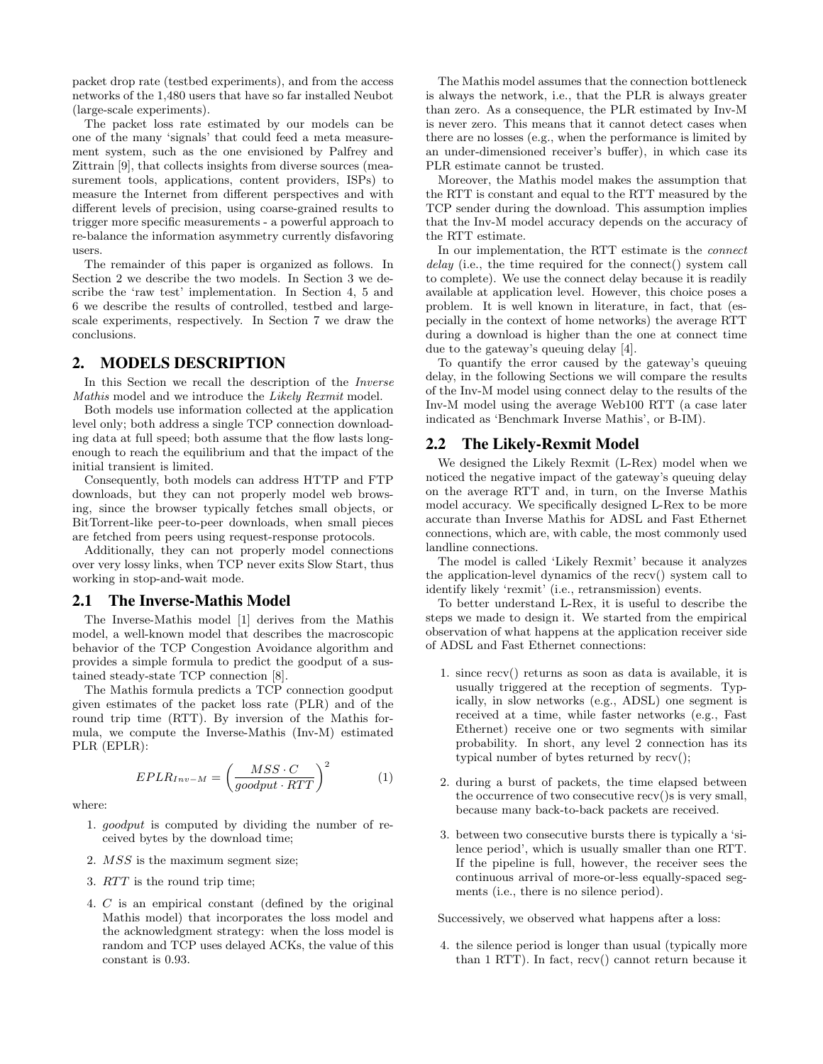packet drop rate (testbed experiments), and from the access networks of the 1,480 users that have so far installed Neubot (large-scale experiments).

The packet loss rate estimated by our models can be one of the many 'signals' that could feed a meta measurement system, such as the one envisioned by Palfrey and Zittrain [9], that collects insights from diverse sources (measurement tools, applications, content providers, ISPs) to measure the Internet from different perspectives and with different levels of precision, using coarse-grained results to trigger more specific measurements - a powerful approach to re-balance the information asymmetry currently disfavoring users.

The remainder of this paper is organized as follows. In Section 2 we describe the two models. In Section 3 we describe the 'raw test' implementation. In Section 4, 5 and 6 we describe the results of controlled, testbed and largescale experiments, respectively. In Section 7 we draw the conclusions.

## 2. MODELS DESCRIPTION

In this Section we recall the description of the Inverse Mathis model and we introduce the Likely Rexmit model.

Both models use information collected at the application level only; both address a single TCP connection downloading data at full speed; both assume that the flow lasts longenough to reach the equilibrium and that the impact of the initial transient is limited.

Consequently, both models can address HTTP and FTP downloads, but they can not properly model web browsing, since the browser typically fetches small objects, or BitTorrent-like peer-to-peer downloads, when small pieces are fetched from peers using request-response protocols.

Additionally, they can not properly model connections over very lossy links, when TCP never exits Slow Start, thus working in stop-and-wait mode.

### 2.1 The Inverse-Mathis Model

The Inverse-Mathis model [1] derives from the Mathis model, a well-known model that describes the macroscopic behavior of the TCP Congestion Avoidance algorithm and provides a simple formula to predict the goodput of a sustained steady-state TCP connection [8].

The Mathis formula predicts a TCP connection goodput given estimates of the packet loss rate (PLR) and of the round trip time (RTT). By inversion of the Mathis formula, we compute the Inverse-Mathis (Inv-M) estimated PLR (EPLR):

$$
EPLR_{Inv-M} = \left(\frac{MSS \cdot C}{goodput \cdot RTT}\right)^2 \tag{1}
$$

where:

- 1. goodput is computed by dividing the number of received bytes by the download time;
- 2. MSS is the maximum segment size;
- 3. RTT is the round trip time;
- 4. C is an empirical constant (defined by the original Mathis model) that incorporates the loss model and the acknowledgment strategy: when the loss model is random and TCP uses delayed ACKs, the value of this constant is 0.93.

The Mathis model assumes that the connection bottleneck is always the network, i.e., that the PLR is always greater than zero. As a consequence, the PLR estimated by Inv-M is never zero. This means that it cannot detect cases when there are no losses (e.g., when the performance is limited by an under-dimensioned receiver's buffer), in which case its PLR estimate cannot be trusted.

Moreover, the Mathis model makes the assumption that the RTT is constant and equal to the RTT measured by the TCP sender during the download. This assumption implies that the Inv-M model accuracy depends on the accuracy of the RTT estimate.

In our implementation, the RTT estimate is the connect delay (i.e., the time required for the connect() system call to complete). We use the connect delay because it is readily available at application level. However, this choice poses a problem. It is well known in literature, in fact, that (especially in the context of home networks) the average RTT during a download is higher than the one at connect time due to the gateway's queuing delay [4].

To quantify the error caused by the gateway's queuing delay, in the following Sections we will compare the results of the Inv-M model using connect delay to the results of the Inv-M model using the average Web100 RTT (a case later indicated as 'Benchmark Inverse Mathis', or B-IM).

## 2.2 The Likely-Rexmit Model

We designed the Likely Rexmit (L-Rex) model when we noticed the negative impact of the gateway's queuing delay on the average RTT and, in turn, on the Inverse Mathis model accuracy. We specifically designed L-Rex to be more accurate than Inverse Mathis for ADSL and Fast Ethernet connections, which are, with cable, the most commonly used landline connections.

The model is called 'Likely Rexmit' because it analyzes the application-level dynamics of the recv() system call to identify likely 'rexmit' (i.e., retransmission) events.

To better understand L-Rex, it is useful to describe the steps we made to design it. We started from the empirical observation of what happens at the application receiver side of ADSL and Fast Ethernet connections:

- 1. since recv() returns as soon as data is available, it is usually triggered at the reception of segments. Typically, in slow networks (e.g., ADSL) one segment is received at a time, while faster networks (e.g., Fast Ethernet) receive one or two segments with similar probability. In short, any level 2 connection has its typical number of bytes returned by recv();
- 2. during a burst of packets, the time elapsed between the occurrence of two consecutive recv()s is very small, because many back-to-back packets are received.
- 3. between two consecutive bursts there is typically a 'silence period', which is usually smaller than one RTT. If the pipeline is full, however, the receiver sees the continuous arrival of more-or-less equally-spaced segments (i.e., there is no silence period).

Successively, we observed what happens after a loss:

4. the silence period is longer than usual (typically more than 1 RTT). In fact, recv() cannot return because it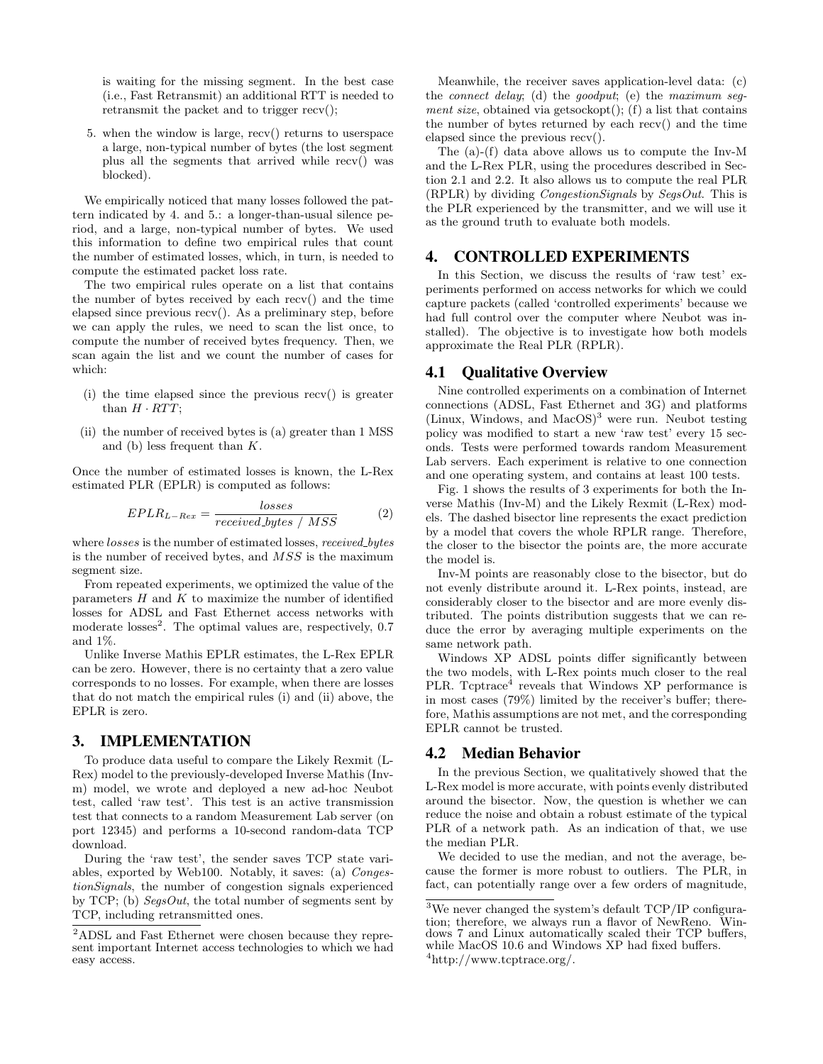is waiting for the missing segment. In the best case (i.e., Fast Retransmit) an additional RTT is needed to retransmit the packet and to trigger recv();

5. when the window is large, recv() returns to userspace a large, non-typical number of bytes (the lost segment plus all the segments that arrived while recv() was blocked).

We empirically noticed that many losses followed the pattern indicated by 4. and 5.: a longer-than-usual silence period, and a large, non-typical number of bytes. We used this information to define two empirical rules that count the number of estimated losses, which, in turn, is needed to compute the estimated packet loss rate.

The two empirical rules operate on a list that contains the number of bytes received by each recv() and the time elapsed since previous recv(). As a preliminary step, before we can apply the rules, we need to scan the list once, to compute the number of received bytes frequency. Then, we scan again the list and we count the number of cases for which:

- (i) the time elapsed since the previous recv() is greater than  $H \cdot RTT$ ;
- (ii) the number of received bytes is (a) greater than 1 MSS and (b) less frequent than K.

Once the number of estimated losses is known, the L-Rex estimated PLR (EPLR) is computed as follows:

$$
EPLR_{L-Res} = \frac{losses}{received\_bytes / MSS}
$$
 (2)

where *losses* is the number of estimated losses, *received bytes* is the number of received bytes, and MSS is the maximum segment size.

From repeated experiments, we optimized the value of the parameters  $H$  and  $K$  to maximize the number of identified losses for ADSL and Fast Ethernet access networks with moderate losses<sup>2</sup>. The optimal values are, respectively, 0.7 and 1%.

Unlike Inverse Mathis EPLR estimates, the L-Rex EPLR can be zero. However, there is no certainty that a zero value corresponds to no losses. For example, when there are losses that do not match the empirical rules (i) and (ii) above, the EPLR is zero.

## 3. IMPLEMENTATION

To produce data useful to compare the Likely Rexmit (L-Rex) model to the previously-developed Inverse Mathis (Invm) model, we wrote and deployed a new ad-hoc Neubot test, called 'raw test'. This test is an active transmission test that connects to a random Measurement Lab server (on port 12345) and performs a 10-second random-data TCP download.

During the 'raw test', the sender saves TCP state variables, exported by Web100. Notably, it saves: (a) CongestionSignals, the number of congestion signals experienced by TCP; (b)  $SegsOut$ , the total number of segments sent by TCP, including retransmitted ones.

Meanwhile, the receiver saves application-level data: (c) the connect delay; (d) the goodput; (e) the maximum segment size, obtained via getsockopt $()$ ;  $(f)$  a list that contains the number of bytes returned by each recv() and the time elapsed since the previous recv().

The (a)-(f) data above allows us to compute the Inv-M and the L-Rex PLR, using the procedures described in Section 2.1 and 2.2. It also allows us to compute the real PLR (RPLR) by dividing CongestionSignals by SegsOut. This is the PLR experienced by the transmitter, and we will use it as the ground truth to evaluate both models.

## 4. CONTROLLED EXPERIMENTS

In this Section, we discuss the results of 'raw test' experiments performed on access networks for which we could capture packets (called 'controlled experiments' because we had full control over the computer where Neubot was installed). The objective is to investigate how both models approximate the Real PLR (RPLR).

#### 4.1 Qualitative Overview

Nine controlled experiments on a combination of Internet connections (ADSL, Fast Ethernet and 3G) and platforms (Linux, Windows, and MacOS)<sup>3</sup> were run. Neubot testing policy was modified to start a new 'raw test' every 15 seconds. Tests were performed towards random Measurement Lab servers. Each experiment is relative to one connection and one operating system, and contains at least 100 tests.

Fig. 1 shows the results of 3 experiments for both the Inverse Mathis (Inv-M) and the Likely Rexmit (L-Rex) models. The dashed bisector line represents the exact prediction by a model that covers the whole RPLR range. Therefore, the closer to the bisector the points are, the more accurate the model is.

Inv-M points are reasonably close to the bisector, but do not evenly distribute around it. L-Rex points, instead, are considerably closer to the bisector and are more evenly distributed. The points distribution suggests that we can reduce the error by averaging multiple experiments on the same network path.

Windows XP ADSL points differ significantly between the two models, with L-Rex points much closer to the real PLR. Tcptrace<sup>4</sup> reveals that Windows XP performance is in most cases (79%) limited by the receiver's buffer; therefore, Mathis assumptions are not met, and the corresponding EPLR cannot be trusted.

## 4.2 Median Behavior

In the previous Section, we qualitatively showed that the L-Rex model is more accurate, with points evenly distributed around the bisector. Now, the question is whether we can reduce the noise and obtain a robust estimate of the typical PLR of a network path. As an indication of that, we use the median PLR.

We decided to use the median, and not the average, because the former is more robust to outliers. The PLR, in fact, can potentially range over a few orders of magnitude,

<sup>2</sup>ADSL and Fast Ethernet were chosen because they represent important Internet access technologies to which we had easy access.

<sup>&</sup>lt;sup>3</sup>We never changed the system's default TCP/IP configuration; therefore, we always run a flavor of NewReno. Windows 7 and Linux automatically scaled their TCP buffers, while MacOS 10.6 and Windows XP had fixed buffers.  $^{4}$ http://www.tcptrace.org/.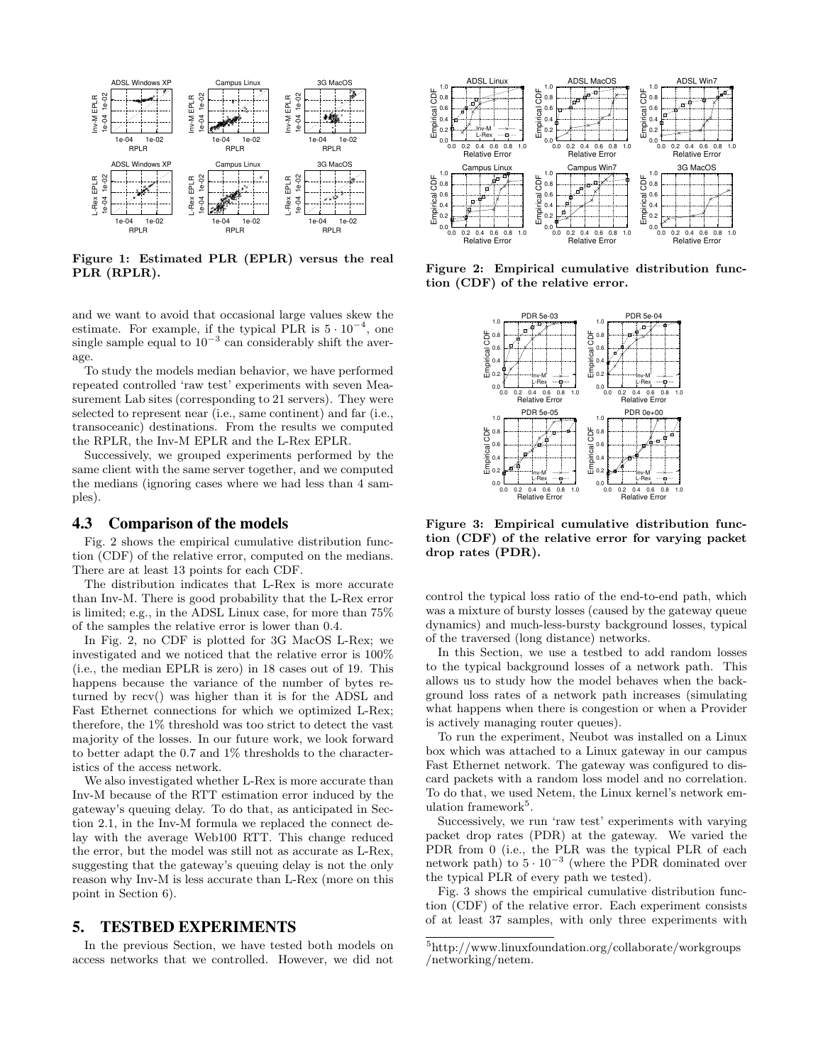

Figure 1: Estimated PLR (EPLR) versus the real PLR (RPLR).

and we want to avoid that occasional large values skew the estimate. For example, if the typical PLR is  $5 \cdot 10^{-4}$ , one single sample equal to  $10^{-3}$  can considerably shift the average.

To study the models median behavior, we have performed repeated controlled 'raw test' experiments with seven Measurement Lab sites (corresponding to 21 servers). They were selected to represent near (i.e., same continent) and far (i.e., transoceanic) destinations. From the results we computed the RPLR, the Inv-M EPLR and the L-Rex EPLR.

Successively, we grouped experiments performed by the same client with the same server together, and we computed the medians (ignoring cases where we had less than 4 samples).

## 4.3 Comparison of the models

Fig. 2 shows the empirical cumulative distribution function (CDF) of the relative error, computed on the medians. There are at least 13 points for each CDF.

The distribution indicates that L-Rex is more accurate than Inv-M. There is good probability that the L-Rex error is limited; e.g., in the ADSL Linux case, for more than 75% of the samples the relative error is lower than 0.4.

In Fig. 2, no CDF is plotted for 3G MacOS L-Rex; we investigated and we noticed that the relative error is 100% (i.e., the median EPLR is zero) in 18 cases out of 19. This happens because the variance of the number of bytes returned by recv() was higher than it is for the ADSL and Fast Ethernet connections for which we optimized L-Rex; therefore, the 1% threshold was too strict to detect the vast majority of the losses. In our future work, we look forward to better adapt the 0.7 and 1% thresholds to the characteristics of the access network.

We also investigated whether L-Rex is more accurate than Inv-M because of the RTT estimation error induced by the gateway's queuing delay. To do that, as anticipated in Section 2.1, in the Inv-M formula we replaced the connect delay with the average Web100 RTT. This change reduced the error, but the model was still not as accurate as L-Rex, suggesting that the gateway's queuing delay is not the only reason why Inv-M is less accurate than L-Rex (more on this point in Section 6).

#### 5. TESTBED EXPERIMENTS

In the previous Section, we have tested both models on access networks that we controlled. However, we did not



Figure 2: Empirical cumulative distribution function (CDF) of the relative error.



Figure 3: Empirical cumulative distribution function (CDF) of the relative error for varying packet drop rates (PDR).

control the typical loss ratio of the end-to-end path, which was a mixture of bursty losses (caused by the gateway queue dynamics) and much-less-bursty background losses, typical of the traversed (long distance) networks.

In this Section, we use a testbed to add random losses to the typical background losses of a network path. This allows us to study how the model behaves when the background loss rates of a network path increases (simulating what happens when there is congestion or when a Provider is actively managing router queues).

To run the experiment, Neubot was installed on a Linux box which was attached to a Linux gateway in our campus Fast Ethernet network. The gateway was configured to discard packets with a random loss model and no correlation. To do that, we used Netem, the Linux kernel's network emulation framework<sup>5</sup>.

Successively, we run 'raw test' experiments with varying packet drop rates (PDR) at the gateway. We varied the PDR from 0 (i.e., the PLR was the typical PLR of each network path) to  $5 \cdot 10^{-3}$  (where the PDR dominated over the typical PLR of every path we tested).

Fig. 3 shows the empirical cumulative distribution function (CDF) of the relative error. Each experiment consists of at least 37 samples, with only three experiments with

<sup>5</sup> http://www.linuxfoundation.org/collaborate/workgroups /networking/netem.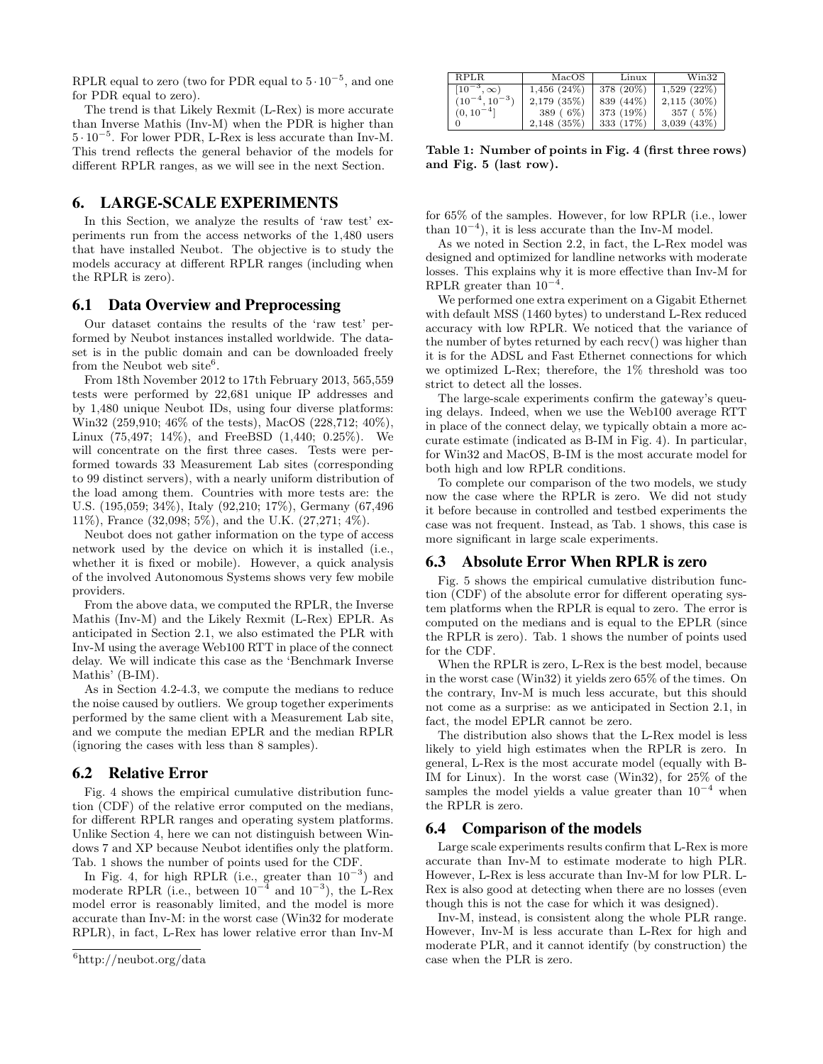RPLR equal to zero (two for PDR equal to  $5 \cdot 10^{-5}$ , and one for PDR equal to zero).

The trend is that Likely Rexmit (L-Rex) is more accurate than Inverse Mathis (Inv-M) when the PDR is higher than 5 · 10<sup>−</sup><sup>5</sup> . For lower PDR, L-Rex is less accurate than Inv-M. This trend reflects the general behavior of the models for different RPLR ranges, as we will see in the next Section.

## 6. LARGE-SCALE EXPERIMENTS

In this Section, we analyze the results of 'raw test' experiments run from the access networks of the 1,480 users that have installed Neubot. The objective is to study the models accuracy at different RPLR ranges (including when the RPLR is zero).

#### 6.1 Data Overview and Preprocessing

Our dataset contains the results of the 'raw test' performed by Neubot instances installed worldwide. The dataset is in the public domain and can be downloaded freely from the Neubot web site<sup>6</sup>.

From 18th November 2012 to 17th February 2013, 565,559 tests were performed by 22,681 unique IP addresses and by 1,480 unique Neubot IDs, using four diverse platforms: Win32 (259,910; 46% of the tests), MacOS (228,712; 40%), Linux (75,497; 14%), and FreeBSD (1,440; 0.25%). We will concentrate on the first three cases. Tests were performed towards 33 Measurement Lab sites (corresponding to 99 distinct servers), with a nearly uniform distribution of the load among them. Countries with more tests are: the U.S. (195,059; 34%), Italy (92,210; 17%), Germany (67,496 11%), France (32,098; 5%), and the U.K. (27,271; 4%).

Neubot does not gather information on the type of access network used by the device on which it is installed (i.e., whether it is fixed or mobile). However, a quick analysis of the involved Autonomous Systems shows very few mobile providers.

From the above data, we computed the RPLR, the Inverse Mathis (Inv-M) and the Likely Rexmit (L-Rex) EPLR. As anticipated in Section 2.1, we also estimated the PLR with Inv-M using the average Web100 RTT in place of the connect delay. We will indicate this case as the 'Benchmark Inverse Mathis' (B-IM).

As in Section 4.2-4.3, we compute the medians to reduce the noise caused by outliers. We group together experiments performed by the same client with a Measurement Lab site, and we compute the median EPLR and the median RPLR (ignoring the cases with less than 8 samples).

#### 6.2 Relative Error

Fig. 4 shows the empirical cumulative distribution function (CDF) of the relative error computed on the medians, for different RPLR ranges and operating system platforms. Unlike Section 4, here we can not distinguish between Windows 7 and XP because Neubot identifies only the platform. Tab. 1 shows the number of points used for the CDF.

In Fig. 4, for high RPLR (i.e., greater than  $10^{-3}$ ) and moderate RPLR (i.e., between  $10^{-4}$  and  $10^{-3}$ ), the L-Rex model error is reasonably limited, and the model is more accurate than Inv-M: in the worst case (Win32 for moderate RPLR), in fact, L-Rex has lower relative error than Inv-M

| I RPLR.              | MacOS            | Linux     | Win32            |
|----------------------|------------------|-----------|------------------|
| $[10^{-3}, \infty)$  | $1,456$ $(24\%)$ | 378 (20%) | 1,529(22%)       |
| $(10^{-4}, 10^{-3})$ | $2,179$ $(35\%)$ | 839 (44%) | $2,115$ (30%)    |
| $(0, 10^{-4}]$       | 389 (6\%)        | 373 (19%) | 357(5%)          |
|                      | $2,148$ (35%)    | 333 (17%) | $3,039$ $(43\%)$ |

Table 1: Number of points in Fig. 4 (first three rows) and Fig. 5 (last row).

for 65% of the samples. However, for low RPLR (i.e., lower than  $10^{-4}$ ), it is less accurate than the Inv-M model.

As we noted in Section 2.2, in fact, the L-Rex model was designed and optimized for landline networks with moderate losses. This explains why it is more effective than Inv-M for RPLR greater than  $10^{-4}$ .

We performed one extra experiment on a Gigabit Ethernet with default MSS (1460 bytes) to understand L-Rex reduced accuracy with low RPLR. We noticed that the variance of the number of bytes returned by each recv() was higher than it is for the ADSL and Fast Ethernet connections for which we optimized L-Rex; therefore, the 1% threshold was too strict to detect all the losses.

The large-scale experiments confirm the gateway's queuing delays. Indeed, when we use the Web100 average RTT in place of the connect delay, we typically obtain a more accurate estimate (indicated as B-IM in Fig. 4). In particular, for Win32 and MacOS, B-IM is the most accurate model for both high and low RPLR conditions.

To complete our comparison of the two models, we study now the case where the RPLR is zero. We did not study it before because in controlled and testbed experiments the case was not frequent. Instead, as Tab. 1 shows, this case is more significant in large scale experiments.

## 6.3 Absolute Error When RPLR is zero

Fig. 5 shows the empirical cumulative distribution function (CDF) of the absolute error for different operating system platforms when the RPLR is equal to zero. The error is computed on the medians and is equal to the EPLR (since the RPLR is zero). Tab. 1 shows the number of points used for the CDF.

When the RPLR is zero, L-Rex is the best model, because in the worst case (Win32) it yields zero 65% of the times. On the contrary, Inv-M is much less accurate, but this should not come as a surprise: as we anticipated in Section 2.1, in fact, the model EPLR cannot be zero.

The distribution also shows that the L-Rex model is less likely to yield high estimates when the RPLR is zero. In general, L-Rex is the most accurate model (equally with B-IM for Linux). In the worst case (Win32), for 25% of the samples the model yields a value greater than  $10^{-4}$  when the RPLR is zero.

#### 6.4 Comparison of the models

Large scale experiments results confirm that L-Rex is more accurate than Inv-M to estimate moderate to high PLR. However, L-Rex is less accurate than Inv-M for low PLR. L-Rex is also good at detecting when there are no losses (even though this is not the case for which it was designed).

Inv-M, instead, is consistent along the whole PLR range. However, Inv-M is less accurate than L-Rex for high and moderate PLR, and it cannot identify (by construction) the case when the PLR is zero.

 $6$ http://neubot.org/data